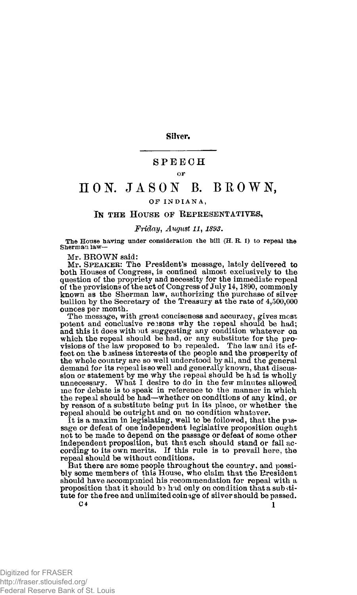**Silver.** 

# SPEEC H

#### OF

# $\begin{array}{ll}\n\text{I} & \text{O} & \text{N} & \text{J} & \text{A} & \text{S} & \text{O} & \text{N}\n\end{array}$  ,  $\begin{array}{ll}\n\text{B} & \text{B} & \text{B} & \text{B} & \text{N} & \text{N}\n\end{array}$

## OF INDIANA,

#### IN THE HOUSE OF REPRESENTATIVES,

### *Friday, August 11, 1893.*

**The House having under consideration the bill (H. R. 1) to repeal the Sherman law -**

Mr. BROWN said:

Mr. **S**PEAKER: The President's message, lately delivered to both Houses of Congress, is confined almost exclusively to the question of the propriety and necessity for the immediate repeal of the provisions of the act of Congress of July 14,1890, commonly known as the Sherman law, authorizing the purchase of silver bullion by the Secretary of the Treasury at the rate of 4,500,000 ounces per month.

The message, with great conciseness and accuracy, gives most potent and conclusive reasons why the repeal should be had; and this it does with out suggesting any condition whatever on which the repeal should be had, or any substitute for the provisions of the law proposed to be repealed. The law and its effect on the business interests of the people and the prosperity of the whole country are so well understood by all, and the general demand for its repeal is so well and generally known, that discussion or statement by me why the repeal should be had is wholly unnecessary. What I desire to do in the few minutes allowed What I desire to do in the few minutes allowed me for debate is to speak in reference to the manner in which the repeal should be had—whether on conditions of any kind, or by reason of a substitute being put in its place, or whether the repeal should be outright and on no condition whatever.

It is a maxim in legislating, well to be followed, that the pas-sage or defeat of one independent legislative proposition ought not to be made to depend on the passage or defeat of some other independent proposition, but that each should stand or fall ac-cording to its own merits. If this rule is to prevail here, the repeal should be without conditions.

But there are some people throughout the country, and possibly some members of this House, who claim that the President should have accompanied his recommendation for repeal with a proposition that it should b3 had only on condition that a sub stitute for the free and unlimited coinage of silver should be passed.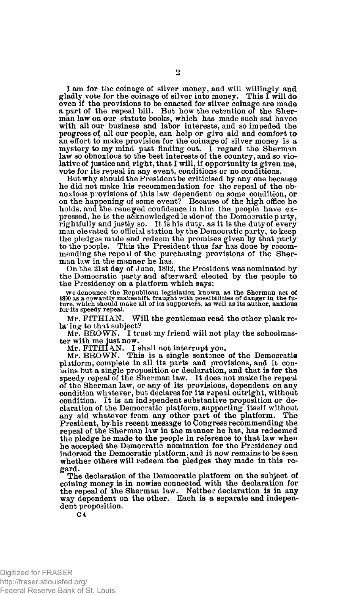I am for the coinage of silver money, and will willingly and gladly vote for the coinage of silver into money. even if the provisions to be enacted for silver coinage are made a part of the repeal bill. But how the retention of the Sherman law on our statute books, which has made such sad havoc with all our business and labor interests, and so impeded the progress of all our people, can help or give aid and comfort to an effort to make provision for the coinage of silver money is a mystery to my mind past finding out. I regard the Sherman law so obnoxious to the best interests of the country, and so violative of justice and right, that I will, if opportunity is given me, vote for its repeal in any event, conditions or no conditions.

But why should the President be criticised by any one because he did not make his recommendation for the repeal of the obnoxious provisions of this law dependent on some condition, or on the happening of some event? Because of the high office he holds, and the renewed confidence in him the people have expressed, he is the acknowledged leader of the Democratic party, rightfully and justly so. It is his duty, as it is the duty of every man elevated to official station by the Democratic party, to keep the pledges made and redeem the promises given by that party to the people. This the President thus far has done by recommending the repeal of the purchasing provisions of the Sher-man law in the manner he has.

On 'the 21st day of June, 1892, the President was nominated by the Democratic party and afterward elected by the people to the Presidency on a platform which says:

We denounce the Republican legislation known as the Sherman act of<br>1830 as a cowardly makeshift, fraught with possibilities of danger in the fu-<br>ture, which should make all of its supporters, as well as its author, anxious **for its speedy repeal.** 

Mr. FITHIAN. Will the gentleman read the other plank rela' ing to that subject?

Mr. BROWN. I trust my friend will not play the schoolmas-

ter with me just now. Mr. FITHIAN. I shall not interrupt you. Mr. BROWN. This is a single sentsnce of the Democratic platform, complete in all its parts and provisions, and it contains but a single proposition or declaration, and that is for the speedy repeal of the Sherman law. It does not make the repeal of the Sherman law, or any of its provisions, dependent on any<br>condition whatever, but declares for its repeal outright, without<br>condition. It is an independent substantive proposition or de-<br>claration of the Democratic pl repeal of the Sherman law in the manner he has, has redeemed the pledge he made to the people in reference to that law when he accepted the Democratic nomination for the Presidency and indorsed the Democratic platform, and it now remains to be seen whether others will redeem the pledges they made in this regard.

The declaration of the Democratic platform on the subject of coining money is in nowise connected with the declaration for the repeal of the Sherman law. Neither declaration is in any way dependent on the other. Each is a separate and independent proposition.

Digitized for FRASER http://fraser.stlouisfed.org/ Federal Reserve Bank of St. Louis

C 4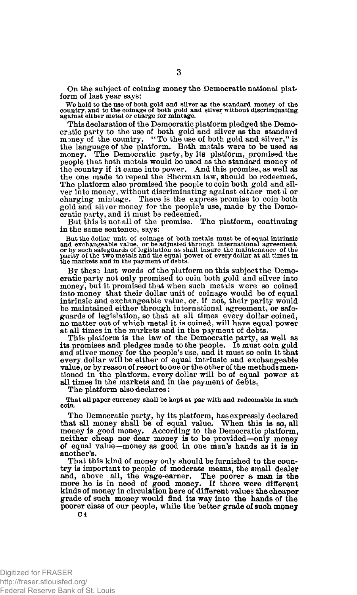On the subject of coining money the Democratic national platform of last year says:

We hold to the use of both gold and silver as the standard money of the country, and to the coinage of both gold and silver without discriminating against either metal or charge for mintage.

This declaration of the Democratic platform pledged the Democratic party to the use of both gold and silver as the standard<br>money of the country. "To the use of both gold and silver," is<br>the language of the platform. Both metals were to be used as<br>money. The Democratic party, by it the country if it came into power. And this promise, as well as the one made to repeal the Sherman law, should be redeemed. The platform also promised the people to coin both gold and silver into money, without discriminating against either met.il or charging mintage. There is the express promise to coin both gold and silver money for the people's use, made by the Democratic party, and it must be redeemed.

But this is not all of the promise. The platform, continuing in the same sentence, says:

But the dollar unit of coinage of both metals must be of equal intrinsic<br>and exchangeable value, or be adjusted through international agreement,<br>or by such safeguards of legislation as shall insure the maintenance of the **parity of the two metals and the equal power of every dollar at all times in the markets and in the payment of debts.** 

By these last words of the platform on this subject the Democratic party not only promised to coin both gold and silver into money, but it promised that when such metals were so coined into money that their dollar unit of coinage would be of equal intrinsic and exchangeable value, or, if not, their parity would be maintained either through international agreement, or safeguards of legislation, so that at all times every dollar coined, no matter out of which metal it is coined, will have equal power at all times in the markets and in the payment of debts.

This platform is the law of the Democratic party, as well as its .promises and pledges made to the people. It must coin gold and silver money for the people's use, and it must so coin it that every dollar will be either of equal intrinsic and exchangeable value, or by reason of resort to one or the other of the methods mentioned in the platform, every dollar will be of equal power at all times in the markets and in the payment of debts.

The platform also declares:

**That all paper currency shall be kept at par with and redeemable in such coin.** 

The Democratic party, by its platform, has expressly declared that all money shall be of equal value. When this is so, all money is good money. According to the Democratic platform, neither cheap nor dear money is to be provided—only money of equal value—money as good in one man's hands as it is in another's.

That this kind of money only should be furnished to the country is important to people of moderate means, the small dealer<br>and, above all, the wage-earner. The poorer a man is the<br>more he is in need of good money. If there were different<br>kinds of money in circulation here of differ grade of such money would find its way into the hands of the poorer class of our people, while the better grade of such money **C 4** 

Digitized for FRASER http://fraser.stlouisfed.org/ Federal Reserve Bank of St. Louis